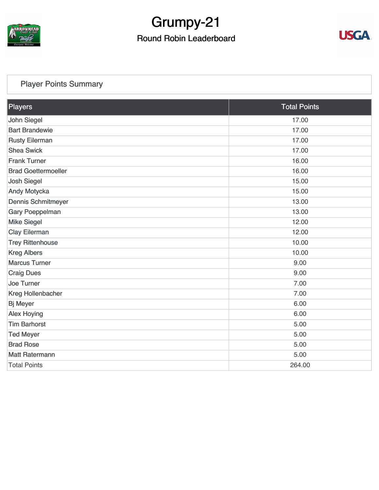

# Grumpy-21

#### Round Robin Leaderboard



#### [Player Points Summary](https://cdn2.golfgenius.com/v2tournaments/total_points?league_id=7166875042066736319&round_id=7245689759572436325)

| Players                    | <b>Total Points</b> |  |
|----------------------------|---------------------|--|
| John Siegel                | 17.00               |  |
| <b>Bart Brandewie</b>      | 17.00               |  |
| <b>Rusty Eilerman</b>      | 17.00               |  |
| <b>Shea Swick</b>          | 17.00               |  |
| <b>Frank Turner</b>        | 16.00               |  |
| <b>Brad Goettermoeller</b> | 16.00               |  |
| <b>Josh Siegel</b>         | 15.00               |  |
| <b>Andy Motycka</b>        | 15.00               |  |
| <b>Dennis Schmitmeyer</b>  | 13.00               |  |
| <b>Gary Poeppelman</b>     | 13.00               |  |
| <b>Mike Siegel</b>         | 12.00               |  |
| <b>Clay Eilerman</b>       | 12.00               |  |
| <b>Trey Rittenhouse</b>    | 10.00               |  |
| <b>Kreg Albers</b>         | 10.00               |  |
| <b>Marcus Turner</b>       | 9.00                |  |
| <b>Craig Dues</b>          | 9.00                |  |
| <b>Joe Turner</b>          | 7.00                |  |
| <b>Kreg Hollenbacher</b>   | 7.00                |  |
| <b>Bj Meyer</b>            | 6.00                |  |
| <b>Alex Hoying</b>         | 6.00                |  |
| <b>Tim Barhorst</b>        | 5.00                |  |
| <b>Ted Meyer</b>           | 5.00                |  |
| <b>Brad Rose</b>           | 5.00                |  |
| <b>Matt Ratermann</b>      | 5.00                |  |
| <b>Total Points</b>        | 264.00              |  |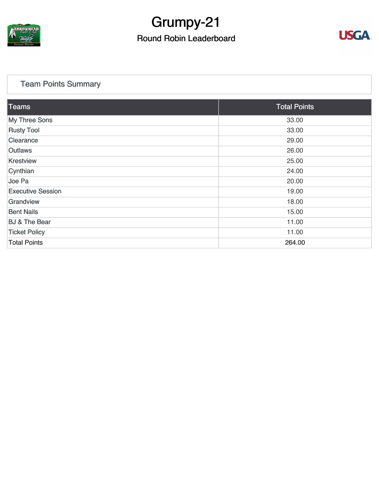

### Grumpy-21 Round Robin Leaderboard



#### [Team Points Summary](https://cdn2.golfgenius.com/v2tournaments/team_points?league_id=7166875042066736319&round_id=7245689759572436325)

| Teams                    | <b>Total Points</b> |
|--------------------------|---------------------|
| <b>My Three Sons</b>     | 33.00               |
| <b>Rusty Tool</b>        | 33.00               |
| Clearance                | 29.00               |
| <b>Outlaws</b>           | 26.00               |
| <b>Krestview</b>         | 25.00               |
| Cynthian                 | 24.00               |
| Joe Pa                   | 20.00               |
| <b>Executive Session</b> | 19.00               |
| Grandview                | 18.00               |
| <b>Bent Nails</b>        | 15.00               |
| <b>BJ &amp; The Bear</b> | 11.00               |
| <b>Ticket Policy</b>     | 11.00               |
| <b>Total Points</b>      | 264.00              |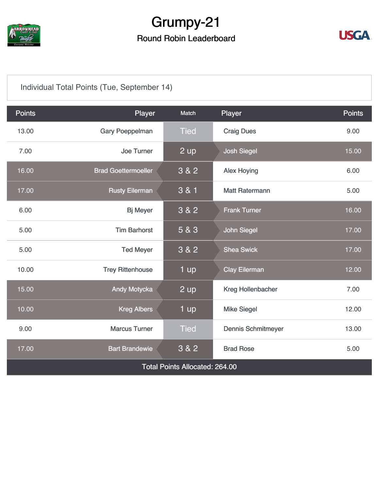

### Grumpy-21

#### Round Robin Leaderboard



#### [Individual Total Points \(Tue, September 14\)](https://cdn2.golfgenius.com/v2tournaments/7245690005291541695?called_from=&round_index=23)

| <b>Points</b>                         | Player                     | Match       | Player                    | <b>Points</b> |  |
|---------------------------------------|----------------------------|-------------|---------------------------|---------------|--|
| 13.00                                 | <b>Gary Poeppelman</b>     | <b>Tied</b> | <b>Craig Dues</b>         | 9.00          |  |
| 7.00                                  | <b>Joe Turner</b>          | 2 up        | <b>Josh Siegel</b>        | 15.00         |  |
| 16.00                                 | <b>Brad Goettermoeller</b> | 3 & 2       | <b>Alex Hoying</b>        | 6.00          |  |
| 17.00                                 | <b>Rusty Eilerman</b>      | 3 & 1       | <b>Matt Ratermann</b>     | 5.00          |  |
| 6.00                                  | <b>Bj Meyer</b>            | 3 & 2       | <b>Frank Turner</b>       | 16.00         |  |
| 5.00                                  | <b>Tim Barhorst</b>        | 5 & 3       | <b>John Siegel</b>        | 17.00         |  |
| 5.00                                  | <b>Ted Meyer</b>           | 3 & 2       | <b>Shea Swick</b>         | 17.00         |  |
| 10.00                                 | <b>Trey Rittenhouse</b>    | 1 up        | <b>Clay Eilerman</b>      | 12.00         |  |
| 15.00                                 | <b>Andy Motycka</b>        | $2$ up      | Kreg Hollenbacher         | 7.00          |  |
| 10.00                                 | <b>Kreg Albers</b>         | 1 up        | <b>Mike Siegel</b>        | 12.00         |  |
| 9.00                                  | <b>Marcus Turner</b>       | <b>Tied</b> | <b>Dennis Schmitmeyer</b> | 13.00         |  |
| 17.00                                 | <b>Bart Brandewie</b>      | 3 & 2       | <b>Brad Rose</b>          | 5.00          |  |
| <b>Total Points Allocated: 264.00</b> |                            |             |                           |               |  |